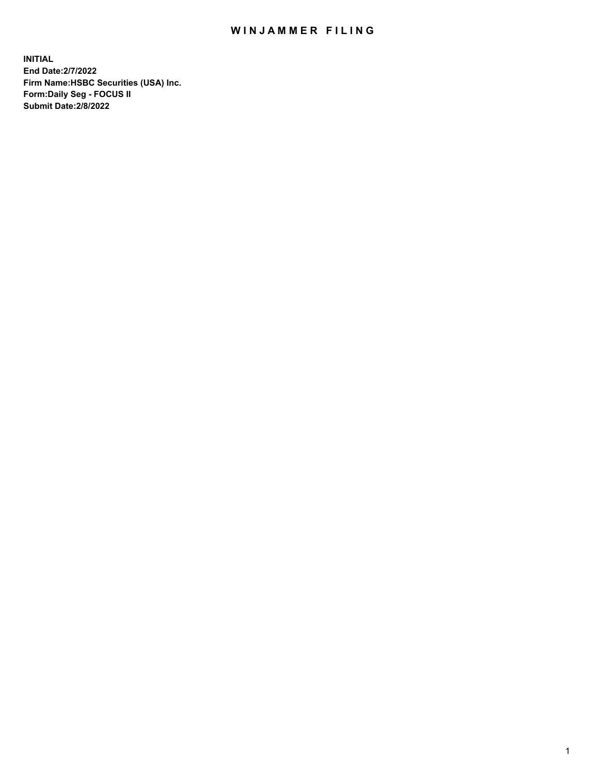## WIN JAMMER FILING

**INITIAL End Date:2/7/2022 Firm Name:HSBC Securities (USA) Inc. Form:Daily Seg - FOCUS II Submit Date:2/8/2022**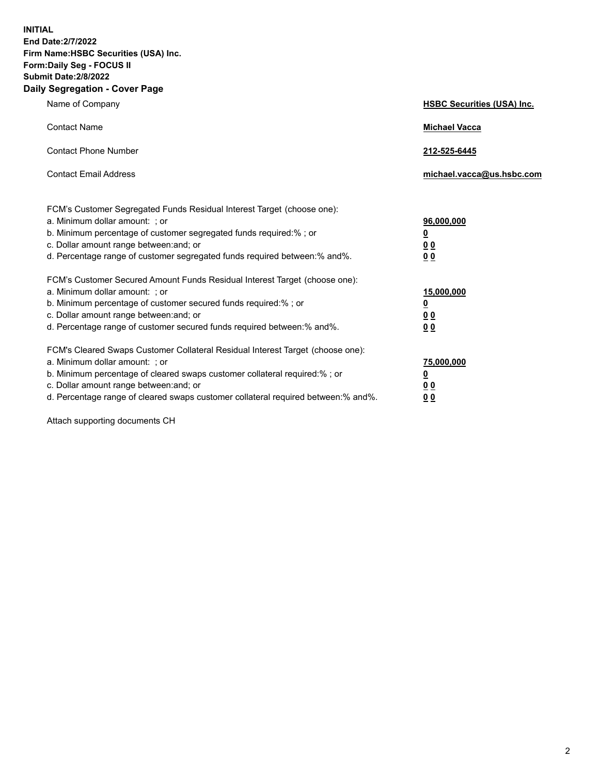**INITIAL End Date:2/7/2022 Firm Name:HSBC Securities (USA) Inc. Form:Daily Seg - FOCUS II Submit Date:2/8/2022 Daily Segregation - Cover Page**

| Name of Company                                                                                                                                                                                                                                                                                                                | <b>HSBC Securities (USA) Inc.</b>                                         |
|--------------------------------------------------------------------------------------------------------------------------------------------------------------------------------------------------------------------------------------------------------------------------------------------------------------------------------|---------------------------------------------------------------------------|
| <b>Contact Name</b>                                                                                                                                                                                                                                                                                                            | <b>Michael Vacca</b>                                                      |
| <b>Contact Phone Number</b>                                                                                                                                                                                                                                                                                                    | 212-525-6445                                                              |
| <b>Contact Email Address</b>                                                                                                                                                                                                                                                                                                   | michael.vacca@us.hsbc.com                                                 |
| FCM's Customer Segregated Funds Residual Interest Target (choose one):<br>a. Minimum dollar amount: ; or<br>b. Minimum percentage of customer segregated funds required:% ; or<br>c. Dollar amount range between: and; or<br>d. Percentage range of customer segregated funds required between:% and%.                         | 96,000,000<br>$\overline{\mathbf{0}}$<br>0 <sub>0</sub><br>0 <sub>0</sub> |
| FCM's Customer Secured Amount Funds Residual Interest Target (choose one):<br>a. Minimum dollar amount: ; or<br>b. Minimum percentage of customer secured funds required:% ; or<br>c. Dollar amount range between: and; or<br>d. Percentage range of customer secured funds required between:% and%.                           | 15,000,000<br><u>0</u><br>0 <sub>0</sub><br>00                            |
| FCM's Cleared Swaps Customer Collateral Residual Interest Target (choose one):<br>a. Minimum dollar amount: ; or<br>b. Minimum percentage of cleared swaps customer collateral required:% ; or<br>c. Dollar amount range between: and; or<br>d. Percentage range of cleared swaps customer collateral required between:% and%. | 75,000,000<br><u>0</u><br><u>00</u><br>00                                 |

Attach supporting documents CH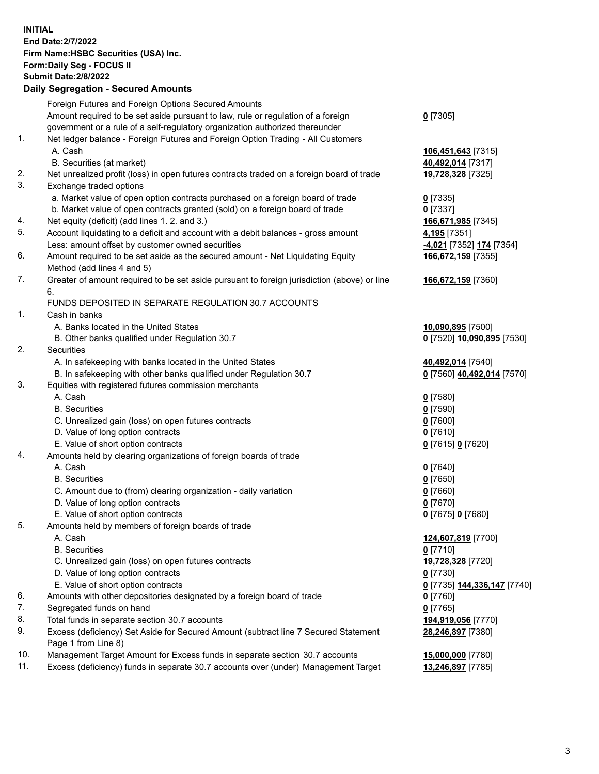**INITIAL End Date:2/7/2022 Firm Name:HSBC Securities (USA) Inc. Form:Daily Seg - FOCUS II Submit Date:2/8/2022 Daily Segregation - Secured Amounts** Foreign Futures and Foreign Options Secured Amounts Amount required to be set aside pursuant to law, rule or regulation of a foreign government or a rule of a self-regulatory organization authorized thereunder **0** [7305] 1. Net ledger balance - Foreign Futures and Foreign Option Trading - All Customers A. Cash **106,451,643** [7315] B. Securities (at market) **40,492,014** [7317] 2. Net unrealized profit (loss) in open futures contracts traded on a foreign board of trade **19,728,328** [7325] 3. Exchange traded options a. Market value of open option contracts purchased on a foreign board of trade **0** [7335] b. Market value of open contracts granted (sold) on a foreign board of trade **0** [7337] 4. Net equity (deficit) (add lines 1. 2. and 3.) **166,671,985** [7345] 5. Account liquidating to a deficit and account with a debit balances - gross amount **4,195** [7351] Less: amount offset by customer owned securities **-4,021** [7352] **174** [7354] 6. Amount required to be set aside as the secured amount - Net Liquidating Equity Method (add lines 4 and 5) **166,672,159** [7355] 7. Greater of amount required to be set aside pursuant to foreign jurisdiction (above) or line 6. **166,672,159** [7360] FUNDS DEPOSITED IN SEPARATE REGULATION 30.7 ACCOUNTS 1. Cash in banks A. Banks located in the United States **10,090,895** [7500] B. Other banks qualified under Regulation 30.7 **0** [7520] **10,090,895** [7530] 2. Securities A. In safekeeping with banks located in the United States **40,492,014** [7540] B. In safekeeping with other banks qualified under Regulation 30.7 **0** [7560] **40,492,014** [7570] 3. Equities with registered futures commission merchants A. Cash **0** [7580] B. Securities **0** [7590] C. Unrealized gain (loss) on open futures contracts **0** [7600] D. Value of long option contracts **0** [7610] E. Value of short option contracts **0** [7615] **0** [7620] 4. Amounts held by clearing organizations of foreign boards of trade A. Cash **0** [7640] B. Securities **0** [7650] C. Amount due to (from) clearing organization - daily variation **0** [7660] D. Value of long option contracts **0** [7670] E. Value of short option contracts **0** [7675] **0** [7680] 5. Amounts held by members of foreign boards of trade A. Cash **124,607,819** [7700] B. Securities **0** [7710] C. Unrealized gain (loss) on open futures contracts **19,728,328** [7720] D. Value of long option contracts **0** [7730] E. Value of short option contracts **0** [7735] **144,336,147** [7740] 6. Amounts with other depositories designated by a foreign board of trade **0** [7760] 7. Segregated funds on hand **0** [7765] 8. Total funds in separate section 30.7 accounts **194,919,056** [7770] 9. Excess (deficiency) Set Aside for Secured Amount (subtract line 7 Secured Statement Page 1 from Line 8) **28,246,897** [7380] 10. Management Target Amount for Excess funds in separate section 30.7 accounts **15,000,000** [7780] 11. Excess (deficiency) funds in separate 30.7 accounts over (under) Management Target **13,246,897** [7785]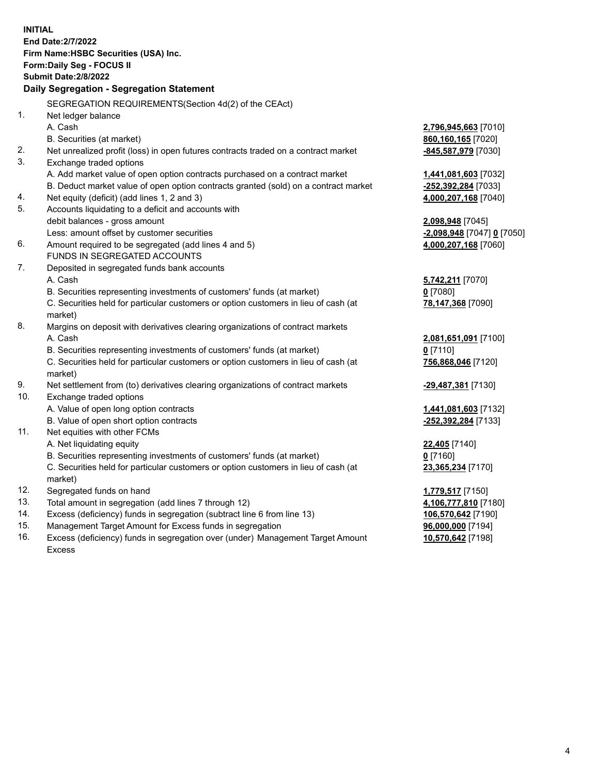|     | <b>INITIAL</b>                                                                      |                                             |
|-----|-------------------------------------------------------------------------------------|---------------------------------------------|
|     | <b>End Date: 2/7/2022</b>                                                           |                                             |
|     | Firm Name: HSBC Securities (USA) Inc.                                               |                                             |
|     | Form: Daily Seg - FOCUS II                                                          |                                             |
|     | <b>Submit Date: 2/8/2022</b>                                                        |                                             |
|     | Daily Segregation - Segregation Statement                                           |                                             |
|     | SEGREGATION REQUIREMENTS(Section 4d(2) of the CEAct)                                |                                             |
| 1.  |                                                                                     |                                             |
|     | Net ledger balance<br>A. Cash                                                       |                                             |
|     | B. Securities (at market)                                                           | 2,796,945,663 [7010]<br>860,160,165 [7020]  |
| 2.  | Net unrealized profit (loss) in open futures contracts traded on a contract market  |                                             |
| 3.  | Exchange traded options                                                             | -845,587,979 [7030]                         |
|     | A. Add market value of open option contracts purchased on a contract market         |                                             |
|     | B. Deduct market value of open option contracts granted (sold) on a contract market | 1,441,081,603 [7032]<br>-252,392,284 [7033] |
| 4.  | Net equity (deficit) (add lines 1, 2 and 3)                                         | 4,000,207,168 [7040]                        |
| 5.  | Accounts liquidating to a deficit and accounts with                                 |                                             |
|     | debit balances - gross amount                                                       | 2,098,948 [7045]                            |
|     | Less: amount offset by customer securities                                          | <u>-2,098,948</u> [7047] <u>0</u> [7050]    |
| 6.  | Amount required to be segregated (add lines 4 and 5)                                | 4,000,207,168 [7060]                        |
|     | FUNDS IN SEGREGATED ACCOUNTS                                                        |                                             |
| 7.  | Deposited in segregated funds bank accounts                                         |                                             |
|     | A. Cash                                                                             | 5,742,211 [7070]                            |
|     | B. Securities representing investments of customers' funds (at market)              | $0$ [7080]                                  |
|     | C. Securities held for particular customers or option customers in lieu of cash (at | 78,147,368 [7090]                           |
|     | market)                                                                             |                                             |
| 8.  | Margins on deposit with derivatives clearing organizations of contract markets      |                                             |
|     | A. Cash                                                                             | 2,081,651,091 [7100]                        |
|     | B. Securities representing investments of customers' funds (at market)              | $0$ [7110]                                  |
|     | C. Securities held for particular customers or option customers in lieu of cash (at | 756,868,046 [7120]                          |
|     | market)                                                                             |                                             |
| 9.  | Net settlement from (to) derivatives clearing organizations of contract markets     | -29,487,381 [7130]                          |
| 10. | Exchange traded options                                                             |                                             |
|     | A. Value of open long option contracts                                              | 1,441,081,603 [7132]                        |
|     | B. Value of open short option contracts                                             | -252,392,284 [7133]                         |
| 11. | Net equities with other FCMs                                                        |                                             |
|     | A. Net liquidating equity                                                           | 22,405 [7140]                               |
|     | B. Securities representing investments of customers' funds (at market)              | $0$ [7160]                                  |
|     | C. Securities held for particular customers or option customers in lieu of cash (at | 23,365,234 [7170]                           |
|     | market)                                                                             |                                             |
| 12. | Segregated funds on hand                                                            | 1,779,517 [7150]                            |
| 13. | Total amount in segregation (add lines 7 through 12)                                | 4,106,777,810 [7180]                        |
| 14. | Excess (deficiency) funds in segregation (subtract line 6 from line 13)             | 106,570,642 [7190]                          |
| 15. | Management Target Amount for Excess funds in segregation                            | 96,000,000 [7194]                           |
| 16. | Excess (deficiency) funds in segregation over (under) Management Target Amount      | 10,570,642 [7198]                           |

16. Excess (deficiency) funds in segregation over (under) Management Target Amount Excess